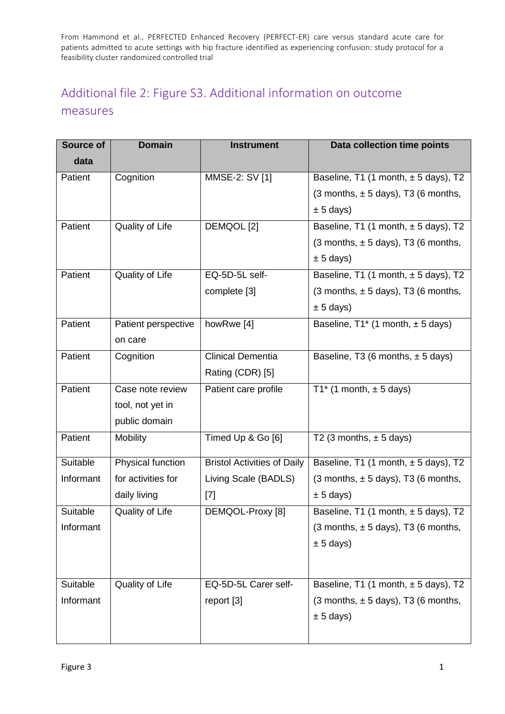## Additional file 2: Figure S3. Additional information on outcome measures

| <b>Source of</b> | <b>Domain</b>       | <b>Instrument</b>                  | Data collection time points               |
|------------------|---------------------|------------------------------------|-------------------------------------------|
| data             |                     |                                    |                                           |
| Patient          | Cognition           | MMSE-2: SV [1]                     | Baseline, T1 (1 month, $\pm$ 5 days), T2  |
|                  |                     |                                    | $(3$ months, $\pm$ 5 days), T3 (6 months, |
|                  |                     |                                    | $\pm$ 5 days)                             |
| Patient          | Quality of Life     | DEMQOL [2]                         | Baseline, T1 (1 month, $\pm$ 5 days), T2  |
|                  |                     |                                    | $(3$ months, $\pm$ 5 days), T3 (6 months, |
|                  |                     |                                    | $\pm$ 5 days)                             |
| Patient          | Quality of Life     | EQ-5D-5L self-                     | Baseline, T1 (1 month, $\pm$ 5 days), T2  |
|                  |                     | complete [3]                       | $(3$ months, $\pm$ 5 days), T3 (6 months, |
|                  |                     |                                    | $\pm$ 5 days)                             |
| Patient          | Patient perspective | howRwe [4]                         | Baseline, $T1^*$ (1 month, $\pm$ 5 days)  |
|                  | on care             |                                    |                                           |
| Patient          | Cognition           | <b>Clinical Dementia</b>           | Baseline, T3 (6 months, $\pm$ 5 days)     |
|                  |                     | Rating (CDR) [5]                   |                                           |
| Patient          | Case note review    | Patient care profile               | T1* (1 month, $\pm$ 5 days)               |
|                  | tool, not yet in    |                                    |                                           |
|                  | public domain       |                                    |                                           |
| Patient          | Mobility            | Timed Up & Go [6]                  | T2 (3 months, $\pm$ 5 days)               |
| Suitable         | Physical function   | <b>Bristol Activities of Daily</b> | Baseline, T1 (1 month, $\pm$ 5 days), T2  |
| Informant        | for activities for  | Living Scale (BADLS)               | $(3$ months, $\pm$ 5 days), T3 (6 months, |
|                  | daily living        | $[7]$                              | $\pm$ 5 days)                             |
| Suitable         | Quality of Life     | DEMQOL-Proxy [8]                   | Baseline, T1 (1 month, $\pm$ 5 days), T2  |
| Informant        |                     |                                    | $(3$ months, $\pm$ 5 days), T3 (6 months, |
|                  |                     |                                    | $± 5$ days)                               |
|                  |                     |                                    |                                           |
| Suitable         | Quality of Life     | EQ-5D-5L Carer self-               | Baseline, T1 (1 month, $\pm$ 5 days), T2  |
| Informant        |                     |                                    | $(3$ months, $\pm$ 5 days), T3 (6 months, |
|                  |                     | report [3]                         |                                           |
|                  |                     |                                    | $\pm$ 5 days)                             |
|                  |                     |                                    |                                           |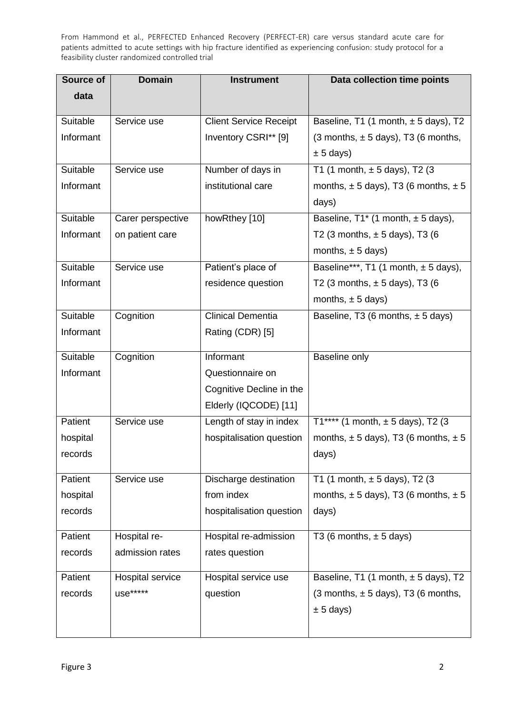| Source of | <b>Domain</b>     | <b>Instrument</b>             | Data collection time points                  |
|-----------|-------------------|-------------------------------|----------------------------------------------|
| data      |                   |                               |                                              |
|           |                   |                               |                                              |
| Suitable  | Service use       | <b>Client Service Receipt</b> | Baseline, T1 (1 month, $\pm$ 5 days), T2     |
| Informant |                   | Inventory CSRI** [9]          | $(3$ months, $\pm$ 5 days), T3 (6 months,    |
|           |                   |                               | $\pm$ 5 days)                                |
| Suitable  | Service use       | Number of days in             | T1 (1 month, $\pm$ 5 days), T2 (3            |
| Informant |                   | institutional care            | months, $\pm$ 5 days), T3 (6 months, $\pm$ 5 |
|           |                   |                               | days)                                        |
| Suitable  | Carer perspective | howRthey [10]                 | Baseline, $T1^*$ (1 month, $\pm$ 5 days),    |
| Informant | on patient care   |                               | T2 (3 months, $\pm$ 5 days), T3 (6           |
|           |                   |                               | months, $\pm$ 5 days)                        |
| Suitable  | Service use       | Patient's place of            | Baseline***, T1 (1 month, $\pm$ 5 days),     |
| Informant |                   | residence question            | T2 (3 months, $\pm$ 5 days), T3 (6           |
|           |                   |                               | months, $\pm$ 5 days)                        |
| Suitable  | Cognition         | <b>Clinical Dementia</b>      | Baseline, T3 (6 months, $\pm$ 5 days)        |
| Informant |                   | Rating (CDR) [5]              |                                              |
|           |                   |                               |                                              |
| Suitable  | Cognition         | Informant                     | Baseline only                                |
| Informant |                   | Questionnaire on              |                                              |
|           |                   | Cognitive Decline in the      |                                              |
|           |                   | Elderly (IQCODE) [11]         |                                              |
| Patient   | Service use       | Length of stay in index       | T1**** (1 month, $\pm$ 5 days), T2 (3        |
| hospital  |                   | hospitalisation question      | months, $\pm$ 5 days), T3 (6 months, $\pm$ 5 |
| records   |                   |                               | days)                                        |
|           |                   |                               |                                              |
| Patient   | Service use       | Discharge destination         | T1 (1 month, $\pm$ 5 days), T2 (3            |
| hospital  |                   | from index                    | months, $\pm$ 5 days), T3 (6 months, $\pm$ 5 |
| records   |                   | hospitalisation question      | days)                                        |
| Patient   | Hospital re-      | Hospital re-admission         | T3 (6 months, $\pm$ 5 days)                  |
| records   | admission rates   | rates question                |                                              |
|           |                   |                               |                                              |
| Patient   | Hospital service  | Hospital service use          | Baseline, T1 (1 month, $\pm$ 5 days), T2     |
| records   | use*****          | question                      | $(3$ months, $\pm$ 5 days), T3 (6 months,    |
|           |                   |                               | $\pm$ 5 days)                                |
|           |                   |                               |                                              |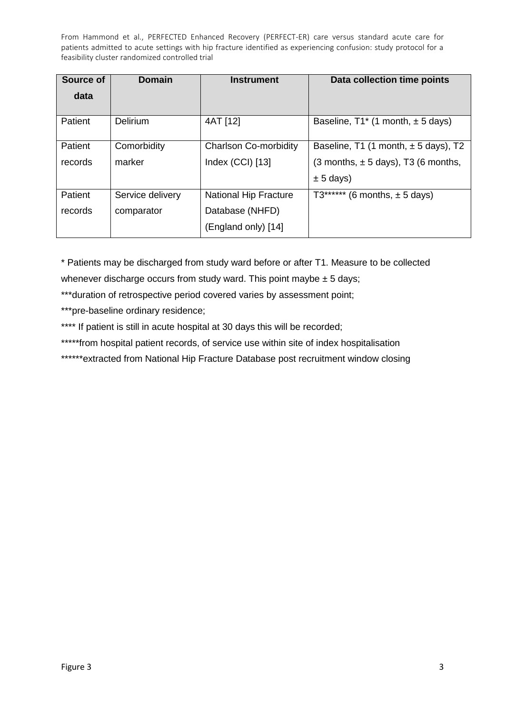| Source of | <b>Domain</b>    | <b>Instrument</b>            | Data collection time points              |
|-----------|------------------|------------------------------|------------------------------------------|
| data      |                  |                              |                                          |
| Patient   | Delirium         | 4AT [12]                     | Baseline, $T1^*$ (1 month, $\pm$ 5 days) |
| Patient   | Comorbidity      | <b>Charlson Co-morbidity</b> | Baseline, T1 (1 month, $\pm$ 5 days), T2 |
| records   | marker           | Index (CCI) [13]             | (3 months, $\pm$ 5 days), T3 (6 months,  |
|           |                  |                              | $\pm$ 5 days)                            |
| Patient   | Service delivery | <b>National Hip Fracture</b> | $T3***$ ****** (6 months, $\pm$ 5 days)  |
| records   | comparator       | Database (NHFD)              |                                          |
|           |                  | (England only) [14]          |                                          |

\* Patients may be discharged from study ward before or after T1. Measure to be collected whenever discharge occurs from study ward. This point maybe  $\pm$  5 days;

\*\*\*duration of retrospective period covered varies by assessment point;

\*\*\*pre-baseline ordinary residence;

- \*\*\*\* If patient is still in acute hospital at 30 days this will be recorded;
- \*\*\*\*\*from hospital patient records, of service use within site of index hospitalisation

\*\*\*\*\*\*extracted from National Hip Fracture Database post recruitment window closing